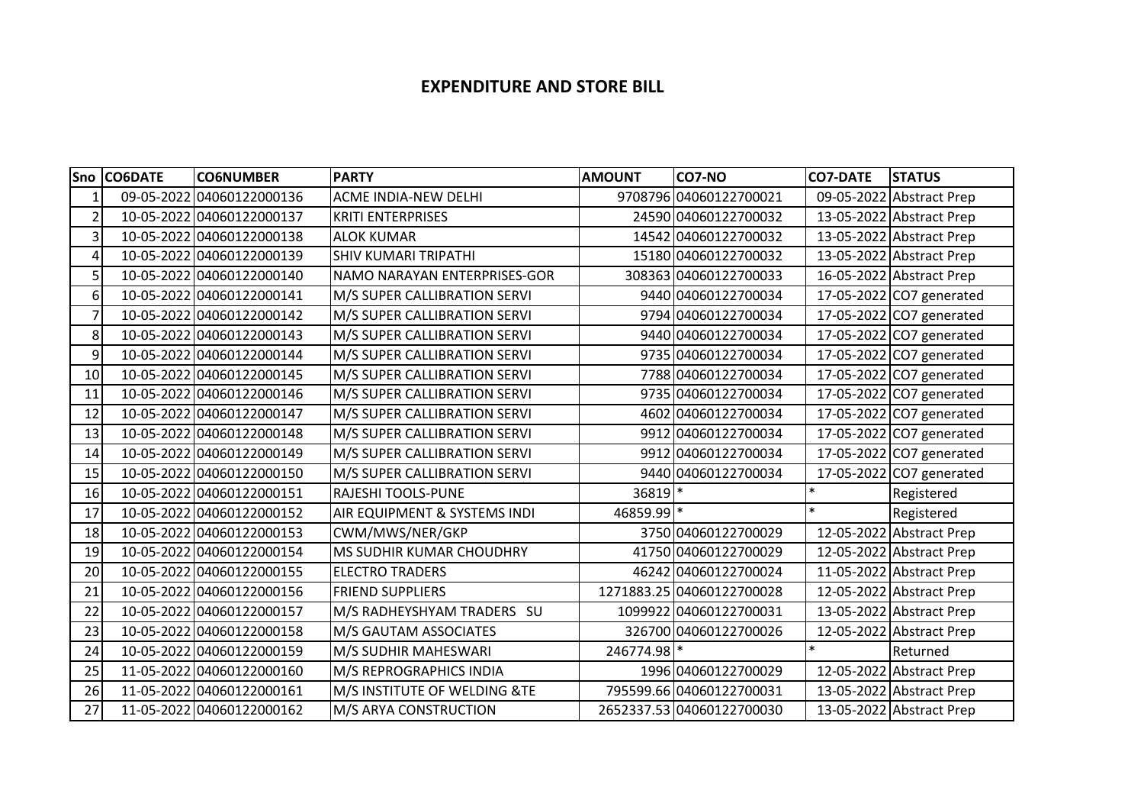## **EXPENDITURE AND STORE BILL**

|                | Sno CO6DATE | <b>CO6NUMBER</b>          | <b>PARTY</b>                 | <b>AMOUNT</b> | CO7-NO                    | <b>CO7-DATE</b> | <b>STATUS</b>            |
|----------------|-------------|---------------------------|------------------------------|---------------|---------------------------|-----------------|--------------------------|
|                | 09-05-2022  | 04060122000136            | ACME INDIA-NEW DELHI         |               | 9708796 04060122700021    |                 | 09-05-2022 Abstract Prep |
| $\overline{2}$ |             | 10-05-2022 04060122000137 | <b>KRITI ENTERPRISES</b>     |               | 24590 04060122700032      |                 | 13-05-2022 Abstract Prep |
| 3              |             | 10-05-2022 04060122000138 | <b>ALOK KUMAR</b>            |               | 14542 04060122700032      |                 | 13-05-2022 Abstract Prep |
| 4              |             | 10-05-2022 04060122000139 | <b>SHIV KUMARI TRIPATHI</b>  |               | 15180 04060122700032      |                 | 13-05-2022 Abstract Prep |
| 5 <sup>1</sup> |             | 10-05-2022 04060122000140 | NAMO NARAYAN ENTERPRISES-GOR |               | 308363 04060122700033     |                 | 16-05-2022 Abstract Prep |
| 6              |             | 10-05-2022 04060122000141 | M/S SUPER CALLIBRATION SERVI |               | 9440 04060122700034       |                 | 17-05-2022 CO7 generated |
| 7              |             | 10-05-2022 04060122000142 | M/S SUPER CALLIBRATION SERVI |               | 9794 04060122700034       |                 | 17-05-2022 CO7 generated |
| 8              |             | 10-05-2022 04060122000143 | M/S SUPER CALLIBRATION SERVI |               | 9440 04060122700034       |                 | 17-05-2022 CO7 generated |
| 9              |             | 10-05-2022 04060122000144 | M/S SUPER CALLIBRATION SERVI |               | 9735 04060122700034       |                 | 17-05-2022 CO7 generated |
| 10             |             | 10-05-2022 04060122000145 | M/S SUPER CALLIBRATION SERVI |               | 7788 04060122700034       |                 | 17-05-2022 CO7 generated |
| 11             |             | 10-05-2022 04060122000146 | M/S SUPER CALLIBRATION SERVI |               | 9735 04060122700034       |                 | 17-05-2022 CO7 generated |
| 12             |             | 10-05-2022 04060122000147 | M/S SUPER CALLIBRATION SERVI |               | 4602 04060122700034       |                 | 17-05-2022 CO7 generated |
| 13             |             | 10-05-2022 04060122000148 | M/S SUPER CALLIBRATION SERVI |               | 9912 04060122700034       |                 | 17-05-2022 CO7 generated |
| 14             |             | 10-05-2022 04060122000149 | M/S SUPER CALLIBRATION SERVI | 9912          | 04060122700034            |                 | 17-05-2022 CO7 generated |
| 15             |             | 10-05-2022 04060122000150 | M/S SUPER CALLIBRATION SERVI |               | 9440 04060122700034       |                 | 17-05-2022 CO7 generated |
| 16             |             | 10-05-2022 04060122000151 | <b>RAJESHI TOOLS-PUNE</b>    | 36819 *       |                           | $\ast$          | Registered               |
| 17             |             | 10-05-2022 04060122000152 | AIR EQUIPMENT & SYSTEMS INDI | 46859.99 *    |                           | $\ast$          | Registered               |
| 18             |             | 10-05-2022 04060122000153 | CWM/MWS/NER/GKP              |               | 3750 04060122700029       |                 | 12-05-2022 Abstract Prep |
| 19             |             | 10-05-2022 04060122000154 | MS SUDHIR KUMAR CHOUDHRY     |               | 41750 04060122700029      |                 | 12-05-2022 Abstract Prep |
| 20             |             | 10-05-2022 04060122000155 | <b>ELECTRO TRADERS</b>       |               | 46242 04060122700024      |                 | 11-05-2022 Abstract Prep |
| 21             |             | 10-05-2022 04060122000156 | <b>FRIEND SUPPLIERS</b>      |               | 1271883.25 04060122700028 |                 | 12-05-2022 Abstract Prep |
| 22             |             | 10-05-2022 04060122000157 | M/S RADHEYSHYAM TRADERS SU   |               | 1099922 04060122700031    |                 | 13-05-2022 Abstract Prep |
| 23             |             | 10-05-2022 04060122000158 | M/S GAUTAM ASSOCIATES        |               | 326700 04060122700026     |                 | 12-05-2022 Abstract Prep |
| 24             |             | 10-05-2022 04060122000159 | M/S SUDHIR MAHESWARI         | 246774.98 *   |                           | $\ast$          | Returned                 |
| 25             |             | 11-05-2022 04060122000160 | M/S REPROGRAPHICS INDIA      |               | 1996 04060122700029       |                 | 12-05-2022 Abstract Prep |
| 26             |             | 11-05-2022 04060122000161 | M/S INSTITUTE OF WELDING &TE |               | 795599.66 04060122700031  |                 | 13-05-2022 Abstract Prep |
| 27             |             | 11-05-2022 04060122000162 | M/S ARYA CONSTRUCTION        |               | 2652337.53 04060122700030 |                 | 13-05-2022 Abstract Prep |